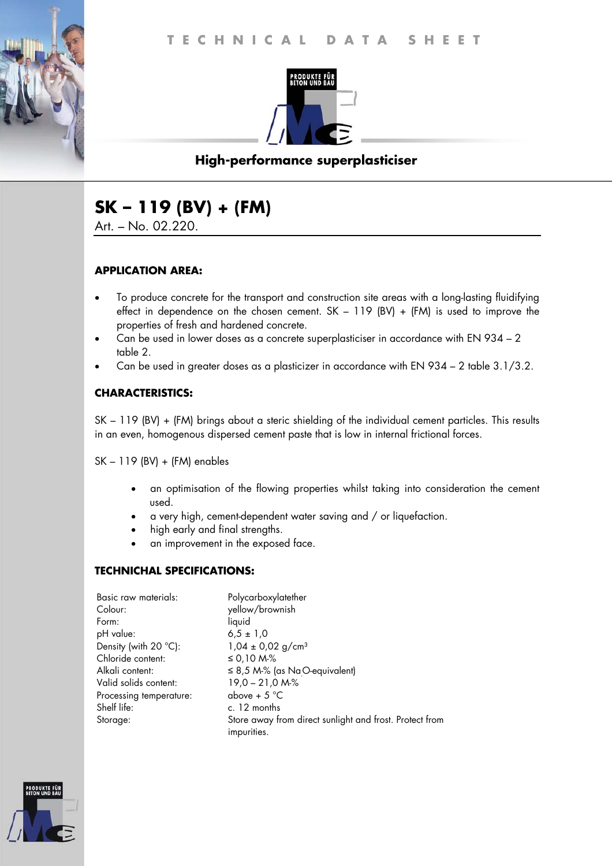

# **High-performance superplasticiser**

# **SK – 119 (BV) + (FM)**

Art. – No. 02.220.

## **APPLICATION AREA:**

- To produce concrete for the transport and construction site areas with a long-lasting fluidifying effect in dependence on the chosen cement.  $SK - 119$  (BV) + (FM) is used to improve the properties of fresh and hardened concrete.
- Can be used in lower doses as a concrete superplasticiser in accordance with EN 934 2 table 2.
- Can be used in greater doses as a plasticizer in accordance with EN 934 2 table 3.1/3.2.

## **CHARACTERISTICS:**

SK – 119 (BV) + (FM) brings about a steric shielding of the individual cement particles. This results in an even, homogenous dispersed cement paste that is low in internal frictional forces.

SK – 119 (BV) + (FM) enables

- an optimisation of the flowing properties whilst taking into consideration the cement used.
- a very high, cement-dependent water saving and / or liquefaction.
- high early and final strengths.
- an improvement in the exposed face.

#### **TECHNICHAL SPECIFICATIONS:**

| Basic raw materials:    | Polycarboxylatether                                                    |
|-------------------------|------------------------------------------------------------------------|
| Colour:                 | yellow/brownish                                                        |
| Form:                   | liquid                                                                 |
| pH value:               | $6.5 \pm 1.0$                                                          |
| Density (with 20 °C):   | $1,04 \pm 0,02$ g/cm <sup>3</sup>                                      |
| Chloride content:       | ≤ 0,10 M-%                                                             |
| Alkali content:         | $\leq$ 8,5 M-% (as NaO-equivalent)                                     |
| Valid solids content:   | $19,0 - 21,0 M-S$                                                      |
| Processing temperature: | above + $5^{\circ}$ C                                                  |
| Shelf life:             | c. 12 months                                                           |
| Storage:                | Store away from direct sunlight and frost. Protect from<br>impurities. |